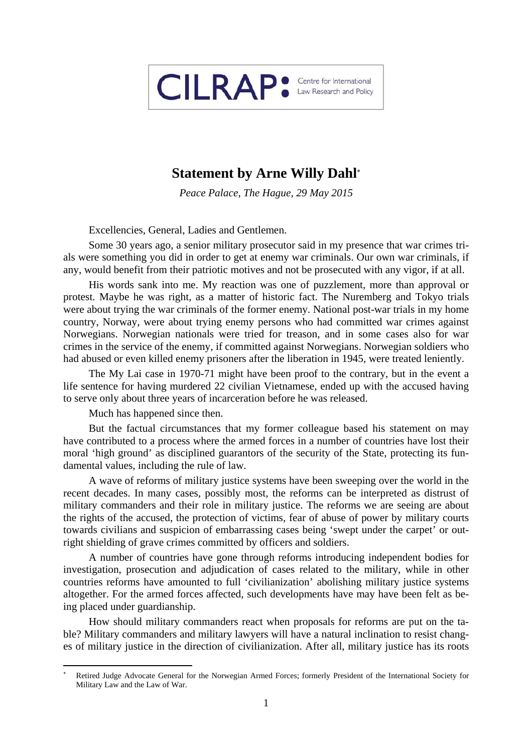

## **Statement by Arne Willy Dahl**

*Peace Palace, The Hague, 29 May 2015* 

Excellencies, General, Ladies and Gentlemen.

Some 30 years ago, a senior military prosecutor said in my presence that war crimes trials were something you did in order to get at enemy war criminals. Our own war criminals, if any, would benefit from their patriotic motives and not be prosecuted with any vigor, if at all.

His words sank into me. My reaction was one of puzzlement, more than approval or protest. Maybe he was right, as a matter of historic fact. The Nuremberg and Tokyo trials were about trying the war criminals of the former enemy. National post-war trials in my home country, Norway, were about trying enemy persons who had committed war crimes against Norwegians. Norwegian nationals were tried for treason, and in some cases also for war crimes in the service of the enemy, if committed against Norwegians. Norwegian soldiers who had abused or even killed enemy prisoners after the liberation in 1945, were treated leniently.

The My Lai case in 1970-71 might have been proof to the contrary, but in the event a life sentence for having murdered 22 civilian Vietnamese, ended up with the accused having to serve only about three years of incarceration before he was released.

Much has happened since then.

But the factual circumstances that my former colleague based his statement on may have contributed to a process where the armed forces in a number of countries have lost their moral 'high ground' as disciplined guarantors of the security of the State, protecting its fundamental values, including the rule of law.

A wave of reforms of military justice systems have been sweeping over the world in the recent decades. In many cases, possibly most, the reforms can be interpreted as distrust of military commanders and their role in military justice. The reforms we are seeing are about the rights of the accused, the protection of victims, fear of abuse of power by military courts towards civilians and suspicion of embarrassing cases being 'swept under the carpet' or outright shielding of grave crimes committed by officers and soldiers.

A number of countries have gone through reforms introducing independent bodies for investigation, prosecution and adjudication of cases related to the military, while in other countries reforms have amounted to full 'civilianization' abolishing military justice systems altogether. For the armed forces affected, such developments have may have been felt as being placed under guardianship.

How should military commanders react when proposals for reforms are put on the table? Military commanders and military lawyers will have a natural inclination to resist changes of military justice in the direction of civilianization. After all, military justice has its roots

<sup>\*</sup>  Retired Judge Advocate General for the Norwegian Armed Forces; formerly President of the International Society for Military Law and the Law of War.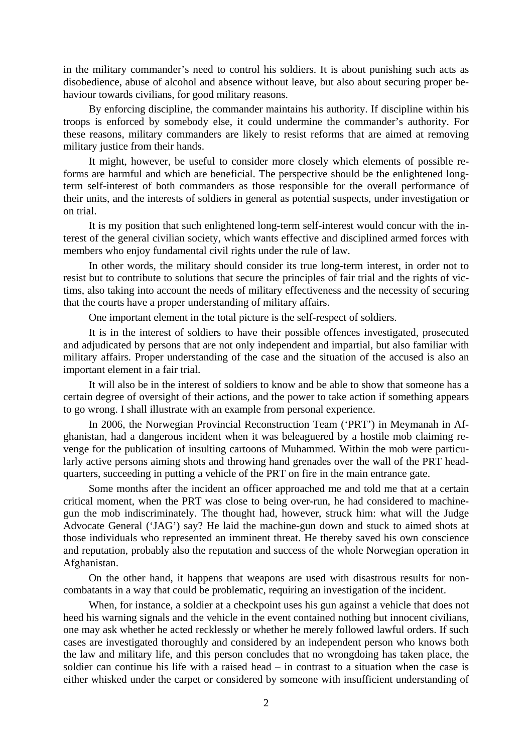in the military commander's need to control his soldiers. It is about punishing such acts as disobedience, abuse of alcohol and absence without leave, but also about securing proper behaviour towards civilians, for good military reasons.

By enforcing discipline, the commander maintains his authority. If discipline within his troops is enforced by somebody else, it could undermine the commander's authority. For these reasons, military commanders are likely to resist reforms that are aimed at removing military justice from their hands.

It might, however, be useful to consider more closely which elements of possible reforms are harmful and which are beneficial. The perspective should be the enlightened longterm self-interest of both commanders as those responsible for the overall performance of their units, and the interests of soldiers in general as potential suspects, under investigation or on trial.

It is my position that such enlightened long-term self-interest would concur with the interest of the general civilian society, which wants effective and disciplined armed forces with members who enjoy fundamental civil rights under the rule of law.

In other words, the military should consider its true long-term interest, in order not to resist but to contribute to solutions that secure the principles of fair trial and the rights of victims, also taking into account the needs of military effectiveness and the necessity of securing that the courts have a proper understanding of military affairs.

One important element in the total picture is the self-respect of soldiers.

It is in the interest of soldiers to have their possible offences investigated, prosecuted and adjudicated by persons that are not only independent and impartial, but also familiar with military affairs. Proper understanding of the case and the situation of the accused is also an important element in a fair trial.

It will also be in the interest of soldiers to know and be able to show that someone has a certain degree of oversight of their actions, and the power to take action if something appears to go wrong. I shall illustrate with an example from personal experience.

In 2006, the Norwegian Provincial Reconstruction Team ('PRT') in Meymanah in Afghanistan, had a dangerous incident when it was beleaguered by a hostile mob claiming revenge for the publication of insulting cartoons of Muhammed. Within the mob were particularly active persons aiming shots and throwing hand grenades over the wall of the PRT headquarters, succeeding in putting a vehicle of the PRT on fire in the main entrance gate.

Some months after the incident an officer approached me and told me that at a certain critical moment, when the PRT was close to being over-run, he had considered to machinegun the mob indiscriminately. The thought had, however, struck him: what will the Judge Advocate General ('JAG') say? He laid the machine-gun down and stuck to aimed shots at those individuals who represented an imminent threat. He thereby saved his own conscience and reputation, probably also the reputation and success of the whole Norwegian operation in Afghanistan.

On the other hand, it happens that weapons are used with disastrous results for noncombatants in a way that could be problematic, requiring an investigation of the incident.

When, for instance, a soldier at a checkpoint uses his gun against a vehicle that does not heed his warning signals and the vehicle in the event contained nothing but innocent civilians, one may ask whether he acted recklessly or whether he merely followed lawful orders. If such cases are investigated thoroughly and considered by an independent person who knows both the law and military life, and this person concludes that no wrongdoing has taken place, the soldier can continue his life with a raised head – in contrast to a situation when the case is either whisked under the carpet or considered by someone with insufficient understanding of